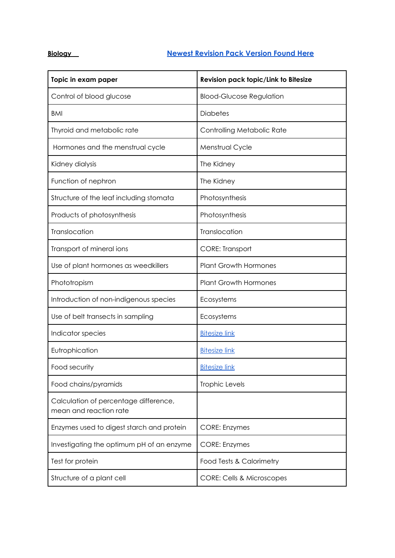## **Biology Newest [Revision](https://drive.google.com/file/d/1Wyt4gMwWJ6AM9gCIa_2DoUQduxm1Lymm/view?usp=sharing) Pack Version Found Here**

| Topic in exam paper                                             | Revision pack topic/Link to Bitesize |
|-----------------------------------------------------------------|--------------------------------------|
| Control of blood glucose                                        | <b>Blood-Glucose Regulation</b>      |
| <b>BMI</b>                                                      | <b>Diabetes</b>                      |
| Thyroid and metabolic rate                                      | Controlling Metabolic Rate           |
| Hormones and the menstrual cycle                                | Menstrual Cycle                      |
| Kidney dialysis                                                 | The Kidney                           |
| Function of nephron                                             | The Kidney                           |
| Structure of the leaf including stomata                         | Photosynthesis                       |
| Products of photosynthesis                                      | Photosynthesis                       |
| Translocation                                                   | Translocation                        |
| Transport of mineral ions                                       | <b>CORE: Transport</b>               |
| Use of plant hormones as weedkillers                            | <b>Plant Growth Hormones</b>         |
| Phototropism                                                    | <b>Plant Growth Hormones</b>         |
| Introduction of non-indigenous species                          | Ecosystems                           |
| Use of belt transects in sampling                               | Ecosystems                           |
| Indicator species                                               | <b>Bitesize link</b>                 |
| Eutrophication                                                  | <b>Bitesize link</b>                 |
| Food security                                                   | <b>Bitesize link</b>                 |
| Food chains/pyramids                                            | Trophic Levels                       |
| Calculation of percentage difference,<br>mean and reaction rate |                                      |
| Enzymes used to digest starch and protein                       | <b>CORE: Enzymes</b>                 |
| Investigating the optimum pH of an enzyme                       | <b>CORE: Enzymes</b>                 |
| Test for protein                                                | Food Tests & Calorimetry             |
| Structure of a plant cell                                       | <b>CORE: Cells &amp; Microscopes</b> |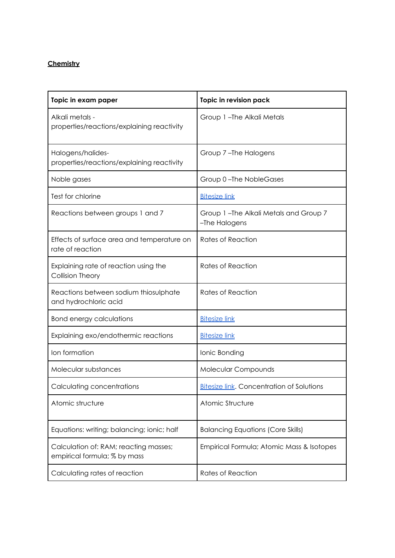## **Chemistry**

| Topic in exam paper                                                   | Topic in revision pack                                 |
|-----------------------------------------------------------------------|--------------------------------------------------------|
| Alkali metals -<br>properties/reactions/explaining reactivity         | Group 1-The Alkali Metals                              |
| Halogens/halides-<br>properties/reactions/explaining reactivity       | Group 7-The Halogens                                   |
| Noble gases                                                           | Group 0-The NobleGases                                 |
| Test for chlorine                                                     | <b>Bitesize link</b>                                   |
| Reactions between groups 1 and 7                                      | Group 1-The Alkali Metals and Group 7<br>-The Halogens |
| Effects of surface area and temperature on<br>rate of reaction        | <b>Rates of Reaction</b>                               |
| Explaining rate of reaction using the<br>Collision Theory             | <b>Rates of Reaction</b>                               |
| Reactions between sodium thiosulphate<br>and hydrochloric acid        | <b>Rates of Reaction</b>                               |
| <b>Bond energy calculations</b>                                       | <b>Bitesize link</b>                                   |
| Explaining exo/endothermic reactions                                  | <b>Bitesize link</b>                                   |
| Ion formation                                                         | Ionic Bonding                                          |
| Molecular substances                                                  | Molecular Compounds                                    |
| Calculating concentrations                                            | <b>Bitesize link.</b> Concentration of Solutions       |
| Atomic structure                                                      | Atomic Structure                                       |
| Equations: writing; balancing; ionic; half                            | <b>Balancing Equations (Core Skills)</b>               |
| Calculation of: RAM; reacting masses;<br>empirical formula; % by mass | Empirical Formula; Atomic Mass & Isotopes              |
| Calculating rates of reaction                                         | <b>Rates of Reaction</b>                               |